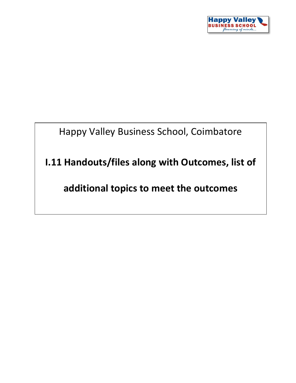

Happy Valley Business School, Coimbatore

**I.11 Handouts/files along with Outcomes, list of** 

**additional topics to meet the outcomes**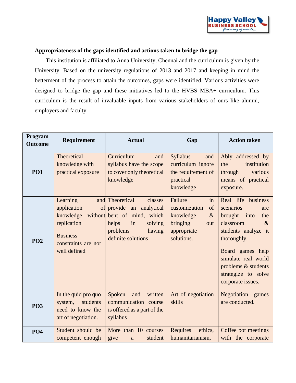

## **Appropriateness of the gaps identified and actions taken to bridge the gap**

This institution is affiliated to Anna University, Chennai and the curriculum is given by the University. Based on the university regulations of 2013 and 2017 and keeping in mind the betterment of the process to attain the outcomes, gaps were identified. Various activities were designed to bridge the gap and these initiatives led to the HVBS MBA+ curriculum. This curriculum is the result of invaluable inputs from various stakeholders of ours like alumni, employers and faculty.

| Program<br><b>Outcome</b> | Requirement                                                                                                   | <b>Actual</b>                                                                                                                                               | Gap                                                                                                       | <b>Action taken</b>                                                                                                                                                                                                                       |
|---------------------------|---------------------------------------------------------------------------------------------------------------|-------------------------------------------------------------------------------------------------------------------------------------------------------------|-----------------------------------------------------------------------------------------------------------|-------------------------------------------------------------------------------------------------------------------------------------------------------------------------------------------------------------------------------------------|
| <b>PO1</b>                | Theoretical<br>knowledge with<br>practical exposure                                                           | Curriculum<br>and<br>syllabus have the scope<br>to cover only theoretical<br>knowledge                                                                      | Syllabus<br>and<br>curriculum ignore<br>the requirement of<br>practical<br>knowledge                      | Ably addressed by<br>the<br>institution<br>through<br>various<br>means of practical<br>exposure.                                                                                                                                          |
| <b>PO2</b>                | Learning<br>application<br>knowledge<br>replication<br><b>Business</b><br>constraints are not<br>well defined | and Theoretical<br>classes<br>of provide an analytical<br>without bent of mind, which<br>helps<br>in<br>solving<br>problems<br>having<br>definite solutions | Failure<br>in<br>customization<br>of<br>knowledge<br>$\&$<br>bringing<br>out<br>appropriate<br>solutions. | Real life<br>business<br>scenarios<br>are<br>brought into<br>the<br>classroom<br>$\&$<br>students analyze it<br>thoroughly.<br>Board games help<br>simulate real world<br>problems & students<br>strategize to solve<br>corporate issues. |
| <b>PO3</b>                | In the quid pro quo<br>system,<br>students<br>need to know the<br>art of negotiation.                         | Spoken<br>written<br>and<br>communication course<br>is offered as a part of the<br>syllabus                                                                 | Art of negotiation<br>skills                                                                              | Negotiation games<br>are conducted.                                                                                                                                                                                                       |
| <b>PO4</b>                | Student should be<br>competent enough                                                                         | More than 10 courses<br>give<br>student<br>a                                                                                                                | <b>Requires</b><br>ethics,<br>humanitarianism,                                                            | Coffee pot meetings<br>with the corporate                                                                                                                                                                                                 |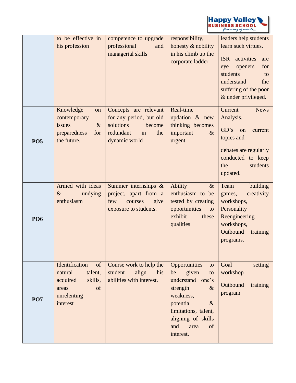

|            | to be effective in<br>his profession                                                                        | competence to upgrade<br>professional<br>and<br>managerial skills                                | responsibility,<br>honesty & nobility<br>in his climb up the<br>corporate ladder                                                                                                                   | leaders help students<br>learn such virtues.<br><b>ISR</b><br>activities<br>are<br>for<br>openers<br>eye<br>students<br>to                |
|------------|-------------------------------------------------------------------------------------------------------------|--------------------------------------------------------------------------------------------------|----------------------------------------------------------------------------------------------------------------------------------------------------------------------------------------------------|-------------------------------------------------------------------------------------------------------------------------------------------|
|            | Knowledge<br>on                                                                                             | Concepts are relevant                                                                            | Real-time                                                                                                                                                                                          | understand<br>the<br>suffering of the poor<br>& under privileged.<br>Current<br><b>News</b>                                               |
| <b>PO5</b> | contemporary<br>issues<br>$\&$<br>preparedness<br>for<br>the future.                                        | for any period, but old<br>solutions<br>become<br>redundant<br>in<br>the<br>dynamic world        | updation $\&$ new<br>thinking becomes<br>important<br>$\&$<br>urgent.                                                                                                                              | Analysis,<br>GD's<br>on<br>current<br>topics and<br>debates are regularly<br>conducted to keep<br>students<br>the<br>updated.             |
| <b>PO6</b> | Armed with ideas<br>$\&$<br>undying<br>enthusiasm                                                           | Summer internships &<br>project, apart from a<br>few<br>courses<br>give<br>exposure to students. | <b>Ability</b><br>$\&$<br>enthusiasm to be<br>tested by creating<br>opportunities<br>to<br>exhibit<br>these<br>qualities                                                                           | building<br>Team<br>creativity<br>games,<br>workshops,<br>Personality<br>Reengineering<br>workshops,<br>Outbound<br>training<br>programs. |
| <b>PO7</b> | Identification<br>of<br>natural<br>talent,<br>acquired<br>skills,<br>of<br>areas<br>unrelenting<br>interest | Course work to help the<br>align<br>student<br>his<br>abilities with interest.                   | Opportunities<br>to<br>be<br>given<br>to<br>understand one's<br>$\&$<br>strength<br>weakness,<br>potential<br>$\&$<br>limitations, talent,<br>aligning of skills<br>and<br>area<br>of<br>interest. | Goal<br>setting<br>workshop<br>Outbound<br>training<br>program                                                                            |